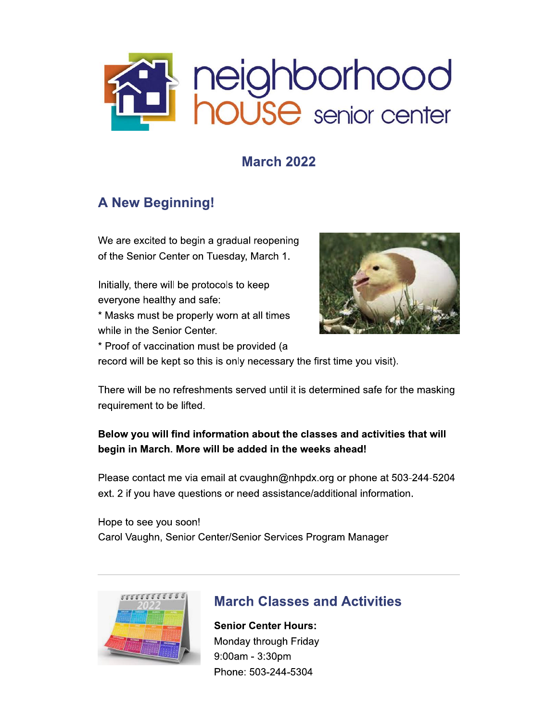

## **March 2022**

## **A New Beginning!**

We are excited to begin a gradual reopening of the Senior Center on Tuesday, March 1.

Initially, there will be protocols to keep everyone healthy and safe:

\* Masks must be properly worn at all times while in the Senior Center.



\* Proof of vaccination must be provided (a

record will be kept so this is only necessary the first time you visit).

There will be no refreshments served until it is determined safe for the masking requirement to be lifted.

### Below you will find information about the classes and activities that will begin in March. More will be added in the weeks ahead!

Please contact me via email at cvaughn@nhpdx.org or phone at 503-244-5204 ext. 2 if you have questions or need assistance/additional information.

Hope to see you soon! Carol Vaughn, Senior Center/Senior Services Program Manager



## **March Classes and Activities**

**Senior Center Hours:** Monday through Friday 9:00am - 3:30pm Phone: 503-244-5304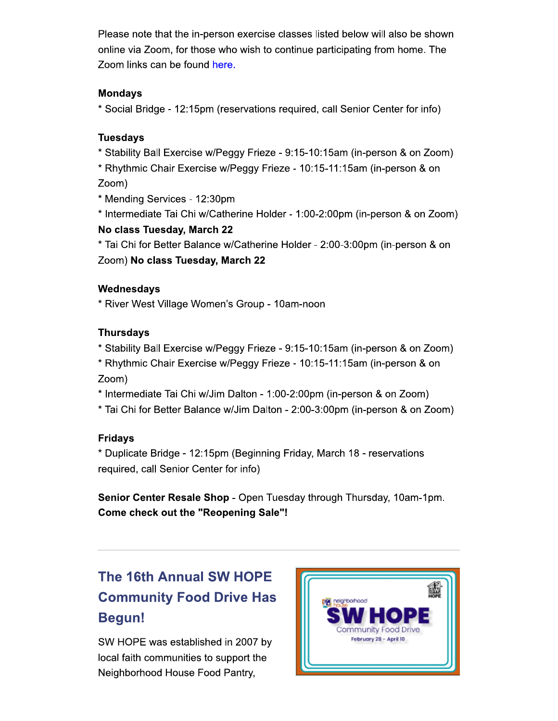Please note that the in-person exercise classes listed below will also be shown online via Zoom, for those who wish to continue participating from home. The Zoom links can be found here.

#### **Mondays**

\* Social Bridge - 12:15pm (reservations required, call Senior Center for info)

#### **Tuesdays**

\* Stability Ball Exercise w/Peggy Frieze - 9:15-10:15am (in-person & on Zoom)

\* Rhythmic Chair Exercise w/Peggy Frieze - 10:15-11:15am (in-person & on Zoom)

\* Mending Services - 12:30pm

\* Intermediate Tai Chi w/Catherine Holder - 1:00-2:00pm (in-person & on Zoom) No class Tuesday, March 22

\* Tai Chi for Better Balance w/Catherine Holder - 2:00-3:00pm (in-person & on Zoom) No class Tuesday, March 22

#### Wednesdays

\* River West Village Women's Group - 10am-noon

### **Thursdays**

\* Stability Ball Exercise w/Peggy Frieze - 9:15-10:15am (in-person & on Zoom)

\* Rhythmic Chair Exercise w/Peggy Frieze - 10:15-11:15am (in-person & on Zoom)

\* Intermediate Tai Chi w/Jim Dalton - 1:00-2:00pm (in-person & on Zoom)

\* Tai Chi for Better Balance w/Jim Dalton - 2:00-3:00pm (in-person & on Zoom)

### **Fridavs**

\* Duplicate Bridge - 12:15pm (Beginning Friday, March 18 - reservations required, call Senior Center for info)

Senior Center Resale Shop - Open Tuesday through Thursday, 10am-1pm. **Come check out the "Reopening Sale"!** 

# **The 16th Annual SW HOPE Community Food Drive Has Begun!**

SW HOPE was established in 2007 by local faith communities to support the Neighborhood House Food Pantry,

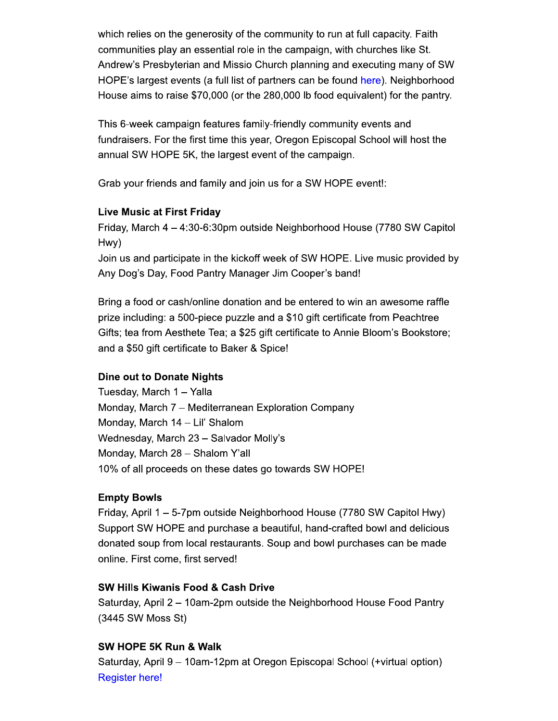which relies on the generosity of the community to run at full capacity. Faith communities play an essential role in the campaign, with churches like St. Andrew's Presbyterian and Missio Church planning and executing many of SW HOPE's largest events (a full list of partners can be found here). Neighborhood House aims to raise \$70,000 (or the 280,000 lb food equivalent) for the pantry.

This 6-week campaign features family-friendly community events and fundraisers. For the first time this year, Oregon Episcopal School will host the annual SW HOPE 5K, the largest event of the campaign.

Grab your friends and family and join us for a SW HOPE event!:

#### **Live Music at First Friday**

Friday, March 4 – 4:30-6:30pm outside Neighborhood House (7780 SW Capitol Hwy)

Join us and participate in the kickoff week of SW HOPE. Live music provided by Any Dog's Day, Food Pantry Manager Jim Cooper's band!

Bring a food or cash/online donation and be entered to win an awesome raffle prize including: a 500-piece puzzle and a \$10 gift certificate from Peachtree Gifts; tea from Aesthete Tea; a \$25 gift certificate to Annie Bloom's Bookstore; and a \$50 gift certificate to Baker & Spice!

#### **Dine out to Donate Nights**

Tuesday, March 1 - Yalla Monday, March 7 - Mediterranean Exploration Company Monday, March 14 - Lil' Shalom Wednesday, March 23 - Salvador Molly's Monday, March 28 - Shalom Y'all 10% of all proceeds on these dates go towards SW HOPE!

#### **Empty Bowls**

Friday, April 1 - 5-7pm outside Neighborhood House (7780 SW Capitol Hwy) Support SW HOPE and purchase a beautiful, hand-crafted bowl and delicious donated soup from local restaurants. Soup and bowl purchases can be made online. First come, first served!

#### **SW Hills Kiwanis Food & Cash Drive**

Saturday, April 2 - 10am-2pm outside the Neighborhood House Food Pantry (3445 SW Moss St)

#### SW HOPE 5K Run & Walk

Saturday, April 9 - 10am-12pm at Oregon Episcopal School (+virtual option) **Register here!**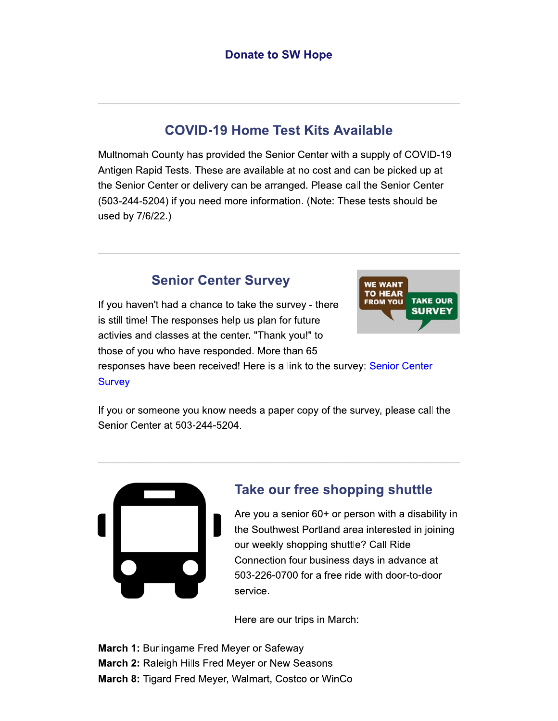### **COVID-19 Home Test Kits Available**

Multnomah County has provided the Senior Center with a supply of COVID-19 Antigen Rapid Tests. These are available at no cost and can be picked up at the Senior Center or delivery can be arranged. Please call the Senior Center (503-244-5204) if you need more information. (Note: These tests should be used by 7/6/22.)

### **Senior Center Survey**

If you haven't had a chance to take the survey - there is still time! The responses help us plan for future activies and classes at the center. "Thank you!" to those of you who have responded. More than 65



responses have been received! Here is a link to the survey: Senior Center **Survey** 

If you or someone you know needs a paper copy of the survey, please call the Senior Center at 503-244-5204.



### Take our free shopping shuttle

Are you a senior 60+ or person with a disability in the Southwest Portland area interested in joining our weekly shopping shuttle? Call Ride Connection four business days in advance at 503-226-0700 for a free ride with door-to-door service.

Here are our trips in March:

**March 1: Burlingame Fred Meyer or Safeway** March 2: Raleigh Hills Fred Meyer or New Seasons March 8: Tigard Fred Meyer, Walmart, Costco or WinCo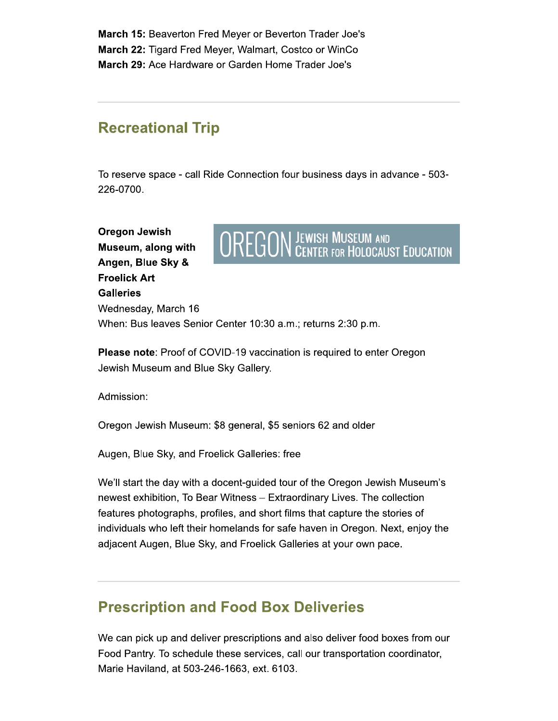March 15: Beaverton Fred Meyer or Beverton Trader Joe's March 22: Tigard Fred Meyer, Walmart, Costco or WinCo March 29: Ace Hardware or Garden Home Trader Joe's

## **Recreational Trip**

To reserve space - call Ride Connection four business days in advance - 503-226-0700.

**Oregon Jewish** Museum, along with Angen, Blue Sky & **Froelick Art Galleries** Wednesday, March 16



When: Bus leaves Senior Center 10:30 a.m.; returns 2:30 p.m.

**Please note:** Proof of COVID-19 vaccination is required to enter Oregon Jewish Museum and Blue Sky Gallery.

Admission:

Oregon Jewish Museum: \$8 general, \$5 seniors 62 and older

Augen, Blue Sky, and Froelick Galleries: free

We'll start the day with a docent-guided tour of the Oregon Jewish Museum's newest exhibition, To Bear Witness - Extraordinary Lives. The collection features photographs, profiles, and short films that capture the stories of individuals who left their homelands for safe haven in Oregon. Next, enjoy the adjacent Augen, Blue Sky, and Froelick Galleries at your own pace.

## **Prescription and Food Box Deliveries**

We can pick up and deliver prescriptions and also deliver food boxes from our Food Pantry. To schedule these services, call our transportation coordinator, Marie Haviland, at 503-246-1663, ext. 6103.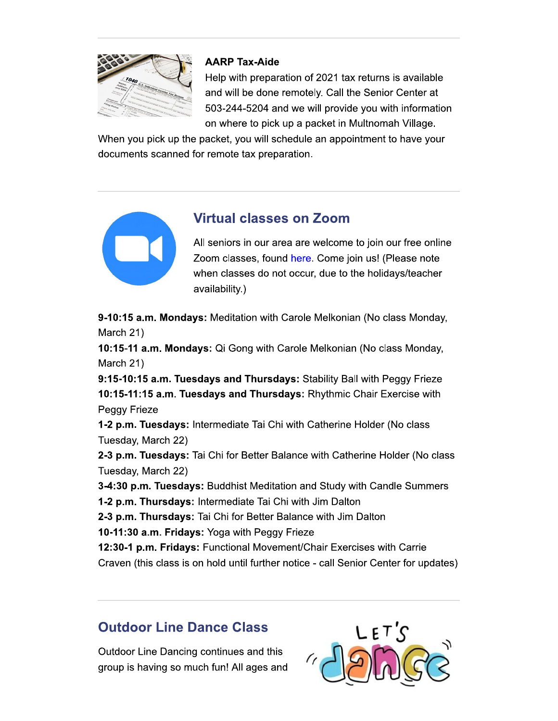

### **AARP Tax-Aide**

Help with preparation of 2021 tax returns is available and will be done remotely. Call the Senior Center at 503-244-5204 and we will provide you with information on where to pick up a packet in Multnomah Village.

When you pick up the packet, you will schedule an appointment to have your documents scanned for remote tax preparation.



### **Virtual classes on Zoom**

All seniors in our area are welcome to join our free online Zoom classes, found here. Come join us! (Please note when classes do not occur, due to the holidays/teacher availability.)

9-10:15 a.m. Mondays: Meditation with Carole Melkonian (No class Monday, March 21)

10:15-11 a.m. Mondays: Qi Gong with Carole Melkonian (No class Monday, March 21)

9:15-10:15 a.m. Tuesdays and Thursdays: Stability Ball with Peggy Frieze 10:15-11:15 a.m. Tuesdays and Thursdays: Rhythmic Chair Exercise with Peggy Frieze

1-2 p.m. Tuesdays: Intermediate Tai Chi with Catherine Holder (No class Tuesday, March 22)

2-3 p.m. Tuesdays: Tai Chi for Better Balance with Catherine Holder (No class Tuesday, March 22)

3-4:30 p.m. Tuesdays: Buddhist Meditation and Study with Candle Summers

1-2 p.m. Thursdays: Intermediate Tai Chi with Jim Dalton

2-3 p.m. Thursdays: Tai Chi for Better Balance with Jim Dalton

10-11:30 a.m. Fridays: Yoga with Peggy Frieze

12:30-1 p.m. Fridays: Functional Movement/Chair Exercises with Carrie

Craven (this class is on hold until further notice - call Senior Center for updates)

## **Outdoor Line Dance Class**

Outdoor Line Dancing continues and this group is having so much fun! All ages and

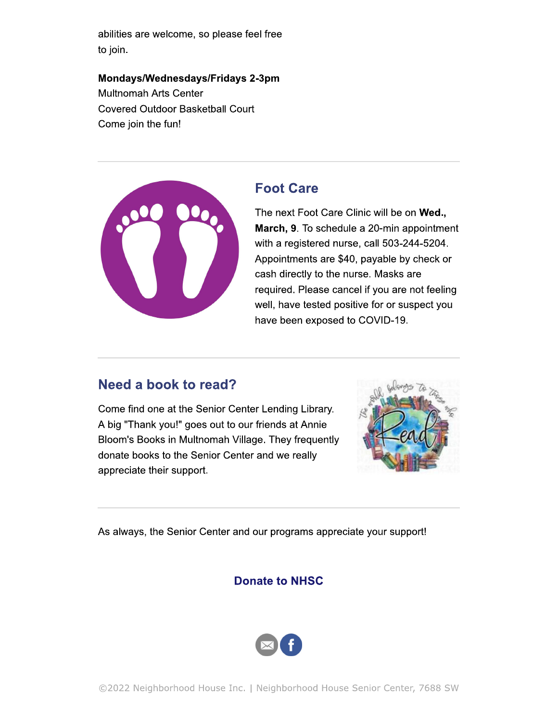abilities are welcome, so please feel free to join.

Mondays/Wednesdays/Fridays 2-3pm **Multnomah Arts Center Covered Outdoor Basketball Court** Come join the fun!



### **Foot Care**

The next Foot Care Clinic will be on Wed., March, 9. To schedule a 20-min appointment with a registered nurse, call 503-244-5204. Appointments are \$40, payable by check or cash directly to the nurse. Masks are required. Please cancel if you are not feeling well, have tested positive for or suspect you have been exposed to COVID-19.

### Need a book to read?

Come find one at the Senior Center Lending Library. A big "Thank you!" goes out to our friends at Annie Bloom's Books in Multnomah Village. They frequently donate books to the Senior Center and we really appreciate their support.



As always, the Senior Center and our programs appreciate your support!

### **Donate to NHSC**